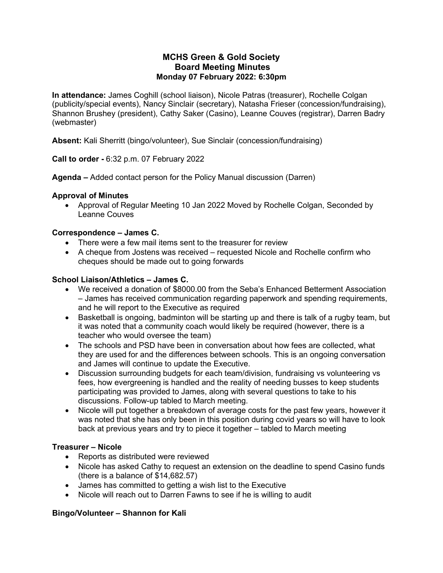### **MCHS Green & Gold Society Board Meeting Minutes Monday 07 February 2022: 6:30pm**

**In attendance:** James Coghill (school liaison), Nicole Patras (treasurer), Rochelle Colgan (publicity/special events), Nancy Sinclair (secretary), Natasha Frieser (concession/fundraising), Shannon Brushey (president), Cathy Saker (Casino), Leanne Couves (registrar), Darren Badry (webmaster)

**Absent:** Kali Sherritt (bingo/volunteer), Sue Sinclair (concession/fundraising)

**Call to order -** 6:32 p.m. 07 February 2022

**Agenda –** Added contact person for the Policy Manual discussion (Darren)

#### **Approval of Minutes**

• Approval of Regular Meeting 10 Jan 2022 Moved by Rochelle Colgan, Seconded by Leanne Couves

### **Correspondence – James C.**

- There were a few mail items sent to the treasurer for review
- A cheque from Jostens was received requested Nicole and Rochelle confirm who cheques should be made out to going forwards

#### **School Liaison/Athletics – James C.**

- We received a donation of \$8000.00 from the Seba's Enhanced Betterment Association – James has received communication regarding paperwork and spending requirements, and he will report to the Executive as required
- Basketball is ongoing, badminton will be starting up and there is talk of a rugby team, but it was noted that a community coach would likely be required (however, there is a teacher who would oversee the team)
- The schools and PSD have been in conversation about how fees are collected, what they are used for and the differences between schools. This is an ongoing conversation and James will continue to update the Executive.
- Discussion surrounding budgets for each team/division, fundraising vs volunteering vs fees, how evergreening is handled and the reality of needing busses to keep students participating was provided to James, along with several questions to take to his discussions. Follow-up tabled to March meeting.
- Nicole will put together a breakdown of average costs for the past few years, however it was noted that she has only been in this position during covid years so will have to look back at previous years and try to piece it together – tabled to March meeting

# **Treasurer – Nicole**

- Reports as distributed were reviewed
- Nicole has asked Cathy to request an extension on the deadline to spend Casino funds (there is a balance of \$14,682.57)
- James has committed to getting a wish list to the Executive
- Nicole will reach out to Darren Fawns to see if he is willing to audit

# **Bingo/Volunteer – Shannon for Kali**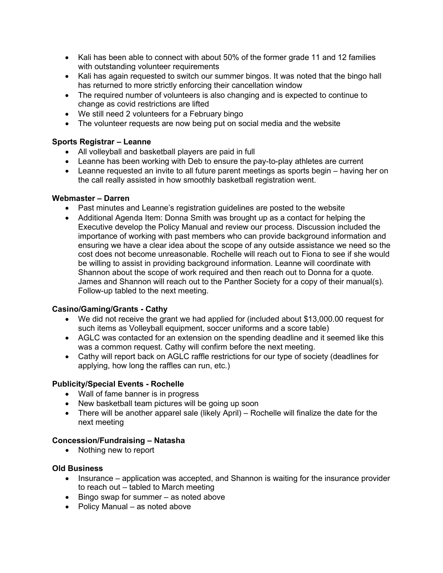- Kali has been able to connect with about 50% of the former grade 11 and 12 families with outstanding volunteer requirements
- Kali has again requested to switch our summer bingos. It was noted that the bingo hall has returned to more strictly enforcing their cancellation window
- The required number of volunteers is also changing and is expected to continue to change as covid restrictions are lifted
- We still need 2 volunteers for a February bingo
- The volunteer requests are now being put on social media and the website

#### **Sports Registrar – Leanne**

- All volleyball and basketball players are paid in full
- Leanne has been working with Deb to ensure the pay-to-play athletes are current
- Leanne requested an invite to all future parent meetings as sports begin having her on the call really assisted in how smoothly basketball registration went.

#### **Webmaster – Darren**

- Past minutes and Leanne's registration guidelines are posted to the website
- Additional Agenda Item: Donna Smith was brought up as a contact for helping the Executive develop the Policy Manual and review our process. Discussion included the importance of working with past members who can provide background information and ensuring we have a clear idea about the scope of any outside assistance we need so the cost does not become unreasonable. Rochelle will reach out to Fiona to see if she would be willing to assist in providing background information. Leanne will coordinate with Shannon about the scope of work required and then reach out to Donna for a quote. James and Shannon will reach out to the Panther Society for a copy of their manual(s). Follow-up tabled to the next meeting.

#### **Casino/Gaming/Grants - Cathy**

- We did not receive the grant we had applied for (included about \$13,000.00 request for such items as Volleyball equipment, soccer uniforms and a score table)
- AGLC was contacted for an extension on the spending deadline and it seemed like this was a common request. Cathy will confirm before the next meeting.
- Cathy will report back on AGLC raffle restrictions for our type of society (deadlines for applying, how long the raffles can run, etc.)

#### **Publicity/Special Events - Rochelle**

- Wall of fame banner is in progress
- New basketball team pictures will be going up soon
- There will be another apparel sale (likely April) Rochelle will finalize the date for the next meeting

#### **Concession/Fundraising – Natasha**

• Nothing new to report

#### **Old Business**

- Insurance application was accepted, and Shannon is waiting for the insurance provider to reach out – tabled to March meeting
- Bingo swap for summer as noted above
- Policy Manual as noted above